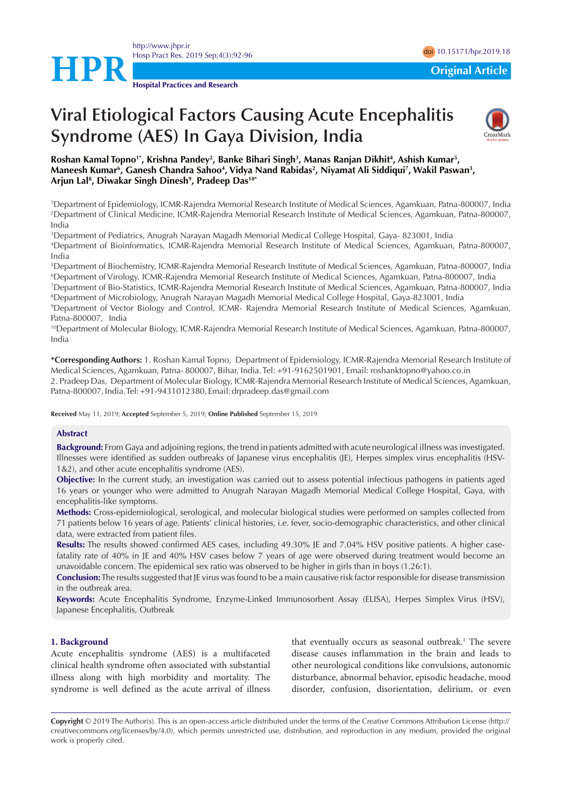



# **Viral Etiological Factors Causing Acute Encephalitis Syndrome (AES) In Gaya Division, India**



**Roshan Kamal Topno1\*, Krishna Pandey2 , Banke Bihari Singh3 , Manas Ranjan Dikhit4 , Ashish Kumar5 ,**  Maneesh Kumar<sup>6</sup>, Ganesh Chandra Sahoo<sup>4</sup>, Vidya Nand Rabidas<sup>2</sup>, Niyamat Ali Siddiqui<sup>7</sup>, Wakil Paswan<sup>3</sup>, **Arjun Lal8 , Diwakar Singh Dinesh9 , Pradeep Das10\***

1 Department of Epidemiology, ICMR-Rajendra Memorial Research Institute of Medical Sciences, Agamkuan, Patna-800007, India 2 Department of Clinical Medicine, ICMR-Rajendra Memorial Research Institute of Medical Sciences, Agamkuan, Patna-800007, India

3 Department of Pediatrics, Anugrah Narayan Magadh Memorial Medical College Hospital, Gaya- 823001, India 4 Department of Bioinformatics, ICMR-Rajendra Memorial Research Institute of Medical Sciences, Agamkuan, Patna-800007, India

5 Department of Biochemistry, ICMR-Rajendra Memorial Research Institute of Medical Sciences, Agamkuan, Patna-800007, India 6 Department of Virology, ICMR-Rajendra Memorial Research Institute of Medical Sciences, Agamkuan, Patna-800007, India

7 Department of Bio-Statistics, ICMR-Rajendra Memorial Research Institute of Medical Sciences, Agamkuan, Patna-800007, India 8 Department of Microbiology, Anugrah Narayan Magadh Memorial Medical College Hospital, Gaya-823001, India

9 Department of Vector Biology and Control, ICMR- Rajendra Memorial Research Institute of Medical Sciences, Agamkuan, Patna-800007, India

<sup>10</sup>Department of Molecular Biology, ICMR-Rajendra Memorial Research Institute of Medical Sciences, Agamkuan, Patna-800007, India

**\*Corresponding Authors:** 1. Roshan Kamal Topno, Department of Epidemiology, ICMR-Rajendra Memorial Research Institute of Medical Sciences, Agamkuan, Patna- 800007, Bihar, India. Tel: +91-9162501901, Email: roshanktopno@yahoo.co.in 2. Pradeep Das, Department of Molecular Biology, ICMR-Rajendra Memorial Research Institute of Medical Sciences, Agamkuan, Patna-800007, India. Tel: +91-9431012380, Email: drpradeep.das@gmail.com

**Received** May 11, 2019; **Accepted** September 5, 2019; **Online Published** September 15, 2019

## **Abstract**

**Background:** From Gaya and adjoining regions, the trend in patients admitted with acute neurological illness was investigated. Illnesses were identified as sudden outbreaks of Japanese virus encephalitis (JE), Herpes simplex virus encephalitis (HSV-1&2), and other acute encephalitis syndrome (AES).

**Objective:** In the current study, an investigation was carried out to assess potential infectious pathogens in patients aged 16 years or younger who were admitted to Anugrah Narayan Magadh Memorial Medical College Hospital, Gaya, with encephalitis-like symptoms.

**Methods:** Cross-epidemiological, serological, and molecular biological studies were performed on samples collected from 71 patients below 16 years of age. Patients' clinical histories, i.e. fever, socio-demographic characteristics, and other clinical data, were extracted from patient files.

**Results:** The results showed confirmed AES cases, including 49.30% JE and 7.04% HSV positive patients. A higher casefatality rate of 40% in JE and 40% HSV cases below 7 years of age were observed during treatment would become an unavoidable concern. The epidemical sex ratio was observed to be higher in girls than in boys (1.26:1).

**Conclusion:** The results suggested that JE virus was found to be a main causative risk factor responsible for disease transmission in the outbreak area.

**Keywords:** Acute Encephalitis Syndrome, Enzyme-Linked Immunosorbent Assay (ELISA), Herpes Simplex Virus (HSV), Japanese Encephalitis, Outbreak

# **1. Background**

Acute encephalitis syndrome (AES) is a multifaceted clinical health syndrome often associated with substantial illness along with high morbidity and mortality. The syndrome is well defined as the acute arrival of illness that eventually occurs as seasonal outbreak.<sup>1</sup> The severe disease causes inflammation in the brain and leads to other neurological conditions like convulsions, autonomic disturbance, abnormal behavior, episodic headache, mood disorder, confusion, disorientation, delirium, or even

**Copyright** © 2019 The Author(s). This is an open-access article distributed under the terms of the Creative Commons Attribution License (http:// creativecommons.org/licenses/by/4.0), which permits unrestricted use, distribution, and reproduction in any medium, provided the original work is properly cited.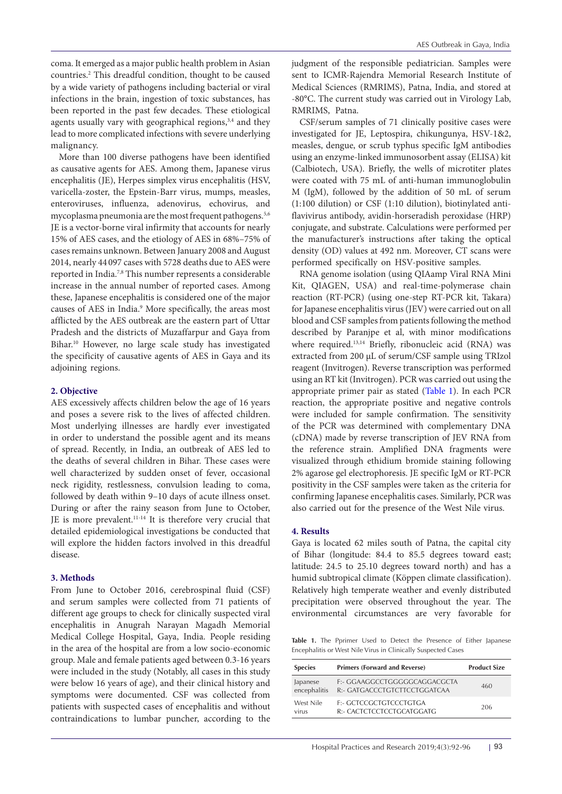coma. It emerged as a major public health problem in Asian countries.2 This dreadful condition, thought to be caused by a wide variety of pathogens including bacterial or viral infections in the brain, ingestion of toxic substances, has been reported in the past few decades. These etiological agents usually vary with geographical regions, $3,4$  and they lead to more complicated infections with severe underlying malignancy.

More than 100 diverse pathogens have been identified as causative agents for AES. Among them, Japanese virus encephalitis (JE), Herpes simplex virus encephalitis (HSV, varicella-zoster, the Epstein-Barr virus, mumps, measles, enteroviruses, influenza, adenovirus, echovirus, and mycoplasma pneumonia are the most frequent pathogens.<sup>5,6</sup> JE is a vector-borne viral infirmity that accounts for nearly 15% of AES cases, and the etiology of AES in 68%–75% of cases remains unknown. Between January 2008 and August 2014, nearly 44 097 cases with 5728 deaths due to AES were reported in India.7,8 This number represents a considerable increase in the annual number of reported cases. Among these, Japanese encephalitis is considered one of the major causes of AES in India.9 More specifically, the areas most afflicted by the AES outbreak are the eastern part of Uttar Pradesh and the districts of Muzaffarpur and Gaya from Bihar.10 However, no large scale study has investigated the specificity of causative agents of AES in Gaya and its adioining regions.

## **2. Objective**

AES excessively affects children below the age of 16 years and poses a severe risk to the lives of affected children. Most underlying illnesses are hardly ever investigated in order to understand the possible agent and its means of spread. Recently, in India, an outbreak of AES led to the deaths of several children in Bihar. These cases were well characterized by sudden onset of fever, occasional neck rigidity, restlessness, convulsion leading to coma, followed by death within 9–10 days of acute illness onset. During or after the rainy season from June to October, JE is more prevalent.11-14 It is therefore very crucial that detailed epidemiological investigations be conducted that will explore the hidden factors involved in this dreadful disease.

## **3. Methods**

From June to October 2016, cerebrospinal fluid (CSF) and serum samples were collected from 71 patients of different age groups to check for clinically suspected viral encephalitis in Anugrah Narayan Magadh Memorial Medical College Hospital, Gaya, India. People residing in the area of the hospital are from a low socio-economic group. Male and female patients aged between 0.3-16 years were included in the study (Notably, all cases in this study were below 16 years of age), and their clinical history and symptoms were documented. CSF was collected from patients with suspected cases of encephalitis and without contraindications to lumbar puncher, according to the

judgment of the responsible pediatrician. Samples were sent to ICMR-Rajendra Memorial Research Institute of Medical Sciences (RMRIMS), Patna, India, and stored at -80°C. The current study was carried out in Virology Lab, RMRIMS, Patna.

CSF/serum samples of 71 clinically positive cases were investigated for JE, Leptospira, chikungunya, HSV-1&2, measles, dengue, or scrub typhus specific IgM antibodies using an enzyme-linked immunosorbent assay (ELISA) kit (Calbiotech, USA). Briefly, the wells of microtiter plates were coated with 75 mL of anti-human immunoglobulin M (IgM), followed by the addition of 50 mL of serum (1:100 dilution) or CSF (1:10 dilution), biotinylated antiflavivirus antibody, avidin-horseradish peroxidase (HRP) conjugate, and substrate. Calculations were performed per the manufacturer's instructions after taking the optical density (OD) values at 492 nm. Moreover, CT scans were performed specifically on HSV-positive samples.

RNA genome isolation (using QIAamp Viral RNA Mini Kit, QIAGEN, USA) and real-time-polymerase chain reaction (RT-PCR) (using one-step RT-PCR kit, Takara) for Japanese encephalitis virus (JEV) were carried out on all blood and CSF samples from patients following the method described by Paranjpe et al, with minor modifications where required.<sup>13,14</sup> Briefly, ribonucleic acid (RNA) was extracted from 200 µL of serum/CSF sample using TRIzol reagent (Invitrogen). Reverse transcription was performed using an RT kit (Invitrogen). PCR was carried out using the appropriate primer pair as stated ([Table 1](#page-1-0)). In each PCR reaction, the appropriate positive and negative controls were included for sample confirmation. The sensitivity of the PCR was determined with complementary DNA (cDNA) made by reverse transcription of JEV RNA from the reference strain. Amplified DNA fragments were visualized through ethidium bromide staining following 2% agarose gel electrophoresis. JE specific IgM or RT-PCR positivity in the CSF samples were taken as the criteria for confirming Japanese encephalitis cases. Similarly, PCR was also carried out for the presence of the West Nile virus.

#### **4. Results**

Gaya is located 62 miles south of Patna, the capital city of Bihar (longitude: 84.4 to 85.5 degrees toward east; latitude: 24.5 to 25.10 degrees toward north) and has a humid subtropical climate (Köppen climate classification). Relatively high temperate weather and evenly distributed precipitation were observed throughout the year. The environmental circumstances are very favorable for

<span id="page-1-0"></span>Table 1. The Pprimer Used to Detect the Presence of Either Japanese Encephalitis or West Nile Virus in Clinically Suspected Cases

| <b>Species</b>           | <b>Primers (Forward and Reverse)</b>                         | <b>Product Size</b> |
|--------------------------|--------------------------------------------------------------|---------------------|
| Japanese<br>encephalitis | F:- GGAAGGCCTGGGGGCAGGACGCTA<br>R:- GATGACCCTGTCTTCCTGGATCAA | 460                 |
| West Nile<br>virus       | <b>F:- GCTCCGCTGTCCCTGTGA</b><br>R:- CACTCTCCTCCTGCATGGATG   | 206                 |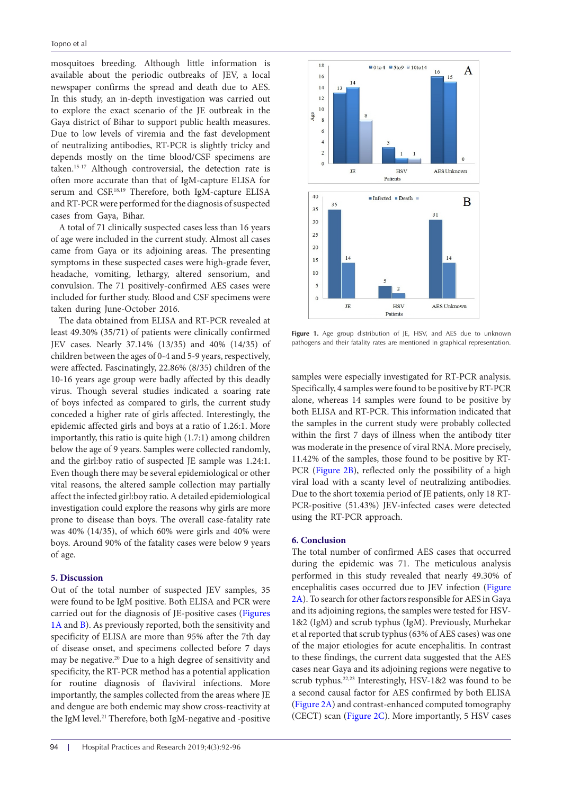mosquitoes breeding. Although little information is available about the periodic outbreaks of JEV, a local newspaper confirms the spread and death due to AES. In this study, an in-depth investigation was carried out to explore the exact scenario of the JE outbreak in the Gaya district of Bihar to support public health measures. Due to low levels of viremia and the fast development of neutralizing antibodies, RT-PCR is slightly tricky and depends mostly on the time blood/CSF specimens are taken.15-17 Although controversial, the detection rate is often more accurate than that of IgM-capture ELISA for serum and CSF.<sup>18,19</sup> Therefore, both IgM-capture ELISA and RT-PCR were performed for the diagnosis of suspected cases from Gaya, Bihar.

A total of 71 clinically suspected cases less than 16 years of age were included in the current study. Almost all cases came from Gaya or its adjoining areas. The presenting symptoms in these suspected cases were high-grade fever, headache, vomiting, lethargy, altered sensorium, and convulsion. The 71 positively-confirmed AES cases were included for further study. Blood and CSF specimens were taken during June-October 2016.

The data obtained from ELISA and RT-PCR revealed at least 49.30% (35/71) of patients were clinically confirmed JEV cases. Nearly 37.14% (13/35) and 40% (14/35) of children between the ages of 0-4 and 5-9 years, respectively, were affected. Fascinatingly, 22.86% (8/35) children of the 10-16 years age group were badly affected by this deadly virus. Though several studies indicated a soaring rate of boys infected as compared to girls, the current study conceded a higher rate of girls affected. Interestingly, the epidemic affected girls and boys at a ratio of 1.26:1. More importantly, this ratio is quite high (1.7:1) among children below the age of 9 years. Samples were collected randomly, and the girl:boy ratio of suspected JE sample was 1.24:1. Even though there may be several epidemiological or other vital reasons, the altered sample collection may partially affect the infected girl:boy ratio. A detailed epidemiological investigation could explore the reasons why girls are more prone to disease than boys. The overall case-fatality rate was 40% (14/35), of which 60% were girls and 40% were boys. Around 90% of the fatality cases were below 9 years of age.

# **5. Discussion**

Out of the total number of suspected JEV samples, 35 were found to be IgM positive. Both ELISA and PCR were carried out for the diagnosis of JE-positive cases ([Figures](#page-2-0) [1A](#page-2-0) and [B\)](#page-2-0). As previously reported, both the sensitivity and specificity of ELISA are more than 95% after the 7th day of disease onset, and specimens collected before 7 days may be negative.20 Due to a high degree of sensitivity and specificity, the RT-PCR method has a potential application for routine diagnosis of flaviviral infections. More importantly, the samples collected from the areas where JE and dengue are both endemic may show cross-reactivity at the IgM level.21 Therefore, both IgM-negative and -positive

<span id="page-2-0"></span>

Figure 1. Age group distribution of JE, HSV, and AES due to unknown pathogens and their fatality rates are mentioned in graphical representation.

samples were especially investigated for RT-PCR analysis. Specifically, 4 samples were found to be positive by RT-PCR alone, whereas 14 samples were found to be positive by both ELISA and RT-PCR. This information indicated that the samples in the current study were probably collected within the first 7 days of illness when the antibody titer was moderate in the presence of viral RNA. More precisely, 11.42% of the samples, those found to be positive by RT-PCR ([Figure 2B\)](#page-3-0), reflected only the possibility of a high viral load with a scanty level of neutralizing antibodies. Due to the short toxemia period of JE patients, only 18 RT-PCR-positive (51.43%) JEV-infected cases were detected using the RT-PCR approach.

## **6. Conclusion**

The total number of confirmed AES cases that occurred during the epidemic was 71. The meticulous analysis performed in this study revealed that nearly 49.30% of encephalitis cases occurred due to JEV infection ([Figure](#page-3-0) [2A\)](#page-3-0). To search for other factors responsible for AES in Gaya and its adjoining regions, the samples were tested for HSV-1&2 (IgM) and scrub typhus (IgM). Previously, Murhekar et al reported that scrub typhus (63% of AES cases) was one of the major etiologies for acute encephalitis. In contrast to these findings, the current data suggested that the AES cases near Gaya and its adjoining regions were negative to scrub typhus.22,23 Interestingly, HSV-1&2 was found to be a second causal factor for AES confirmed by both ELISA [\(Figure 2A\)](#page-3-0) and contrast-enhanced computed tomography (CECT) scan ([Figure 2C](#page-3-0)). More importantly, 5 HSV cases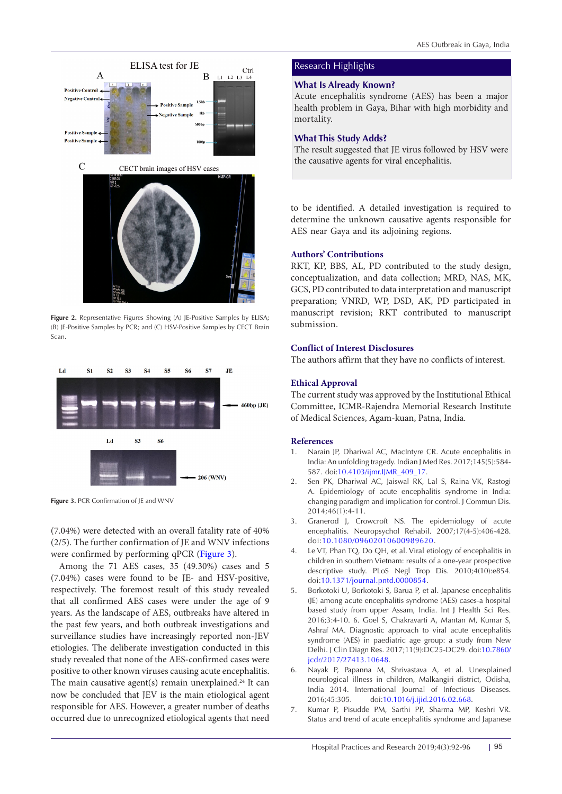<span id="page-3-0"></span>

Figure 2. Representative Figures Showing (A) JE-Positive Samples by ELISA; (B) JE-Positive Samples by PCR; and (C) HSV-Positive Samples by CECT Brain Scan.

<span id="page-3-1"></span>

**Figure 3.** PCR Confirmation of JE and WNV

(7.04%) were detected with an overall fatality rate of 40% (2/5). The further confirmation of JE and WNV infections were confirmed by performing qPCR ([Figure 3](#page-3-1)).

Among the 71 AES cases, 35 (49.30%) cases and 5 (7.04%) cases were found to be JE- and HSV-positive, respectively. The foremost result of this study revealed that all confirmed AES cases were under the age of 9 years. As the landscape of AES, outbreaks have altered in the past few years, and both outbreak investigations and surveillance studies have increasingly reported non-JEV etiologies. The deliberate investigation conducted in this study revealed that none of the AES-confirmed cases were positive to other known viruses causing acute encephalitis. The main causative agent(s) remain unexplained.<sup>24</sup> It can now be concluded that JEV is the main etiological agent responsible for AES. However, a greater number of deaths occurred due to unrecognized etiological agents that need

# Research Highlights

## **What Is Already Known?**

Acute encephalitis syndrome (AES) has been a major health problem in Gaya, Bihar with high morbidity and mortality.

## **What This Study Adds?**

The result suggested that JE virus followed by HSV were the causative agents for viral encephalitis.

to be identified. A detailed investigation is required to determine the unknown causative agents responsible for AES near Gaya and its adjoining regions.

## **Authors' Contributions**

RKT, KP, BBS, AL, PD contributed to the study design, conceptualization, and data collection; MRD, NAS, MK, GCS, PD contributed to data interpretation and manuscript preparation; VNRD, WP, DSD, AK, PD participated in manuscript revision; RKT contributed to manuscript submission.

# **Conflict of Interest Disclosures**

The authors affirm that they have no conflicts of interest.

# **Ethical Approval**

The current study was approved by the Institutional Ethical Committee, ICMR-Rajendra Memorial Research Institute of Medical Sciences, Agam-kuan, Patna, India.

## **References**

- 1. Narain JP, Dhariwal AC, MacIntyre CR. Acute encephalitis in India: An unfolding tragedy. Indian J Med Res. 2017;145(5):584- 587. doi:[10.4103/ijmr.IJMR\\_409\\_17](https://doi.org/10.4103/ijmr.IJMR_409_17).
- 2. Sen PK, Dhariwal AC, Jaiswal RK, Lal S, Raina VK, Rastogi A. Epidemiology of acute encephalitis syndrome in India: changing paradigm and implication for control. J Commun Dis. 2014;46(1):4-11.
- 3. Granerod J, Crowcroft NS. The epidemiology of acute encephalitis. Neuropsychol Rehabil. 2007;17(4-5):406-428. doi:[10.1080/09602010600989620.](https://doi.org/10.1080/09602010600989620)
- 4. Le VT, Phan TQ, Do QH, et al. Viral etiology of encephalitis in children in southern Vietnam: results of a one-year prospective descriptive study. PLoS Negl Trop Dis. 2010;4(10):e854. doi:[10.1371/journal.pntd.0000854.](https://doi.org/10.1371/journal.pntd.0000854)
- 5. Borkotoki U, Borkotoki S, Barua P, et al. Japanese encephalitis (JE) among acute encephalitis syndrome (AES) cases-a hospital based study from upper Assam, India. Int J Health Sci Res. 2016;3:4-10. 6. Goel S, Chakravarti A, Mantan M, Kumar S, Ashraf MA. Diagnostic approach to viral acute encephalitis syndrome (AES) in paediatric age group: a study from New Delhi. J Clin Diagn Res. 2017;11(9):DC25-DC29. doi[:10.7860/](https://doi.org/10.7860/jcdr/2017/27413.10648) [jcdr/2017/27413.10648.](https://doi.org/10.7860/jcdr/2017/27413.10648)
- 6. Nayak P, Papanna M, Shrivastava A, et al. Unexplained neurological illness in children, Malkangiri district, Odisha, India 2014. International Journal of Infectious Diseases. 2016;45:305. doi:[10.1016/j.ijid.2016.02.668](https://doi.org/10.1016/j.ijid.2016.02.668).
- 7. Kumar P, Pisudde PM, Sarthi PP, Sharma MP, Keshri VR. Status and trend of acute encephalitis syndrome and Japanese